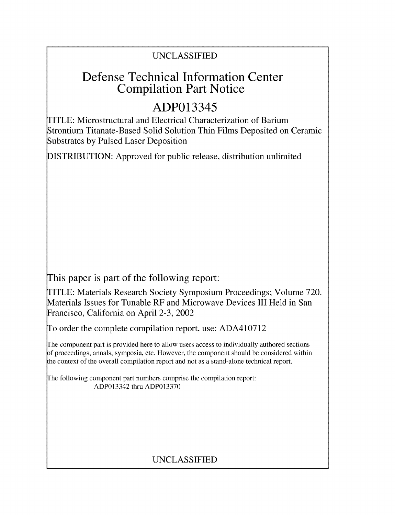## UNCLASSIFIED

## Defense Technical Information Center Compilation Part Notice

# ADP013345

TITLE: Microstructural and Electrical Characterization of Barium Strontium Titanate-Based Solid Solution Thin Films Deposited on Ceramic Substrates by Pulsed Laser Deposition

DISTRIBUTION: Approved for public release, distribution unlimited

This paper is part of the following report:

TITLE: Materials Research Society Symposium Proceedings; Volume 720. Materials Issues for Tunable RF and Microwave Devices III Held in San Francisco, California on April 2-3, 2002

To order the complete compilation report, use: ADA410712

The component part is provided here to allow users access to individually authored sections **)f** proceedings, annals, symposia, etc. However, the component should be considered within [he context of the overall compilation report and not as a stand-alone technical report.

The following component part numbers comprise the compilation report: ADP013342 thru ADP013370

### UNCLASSIFIED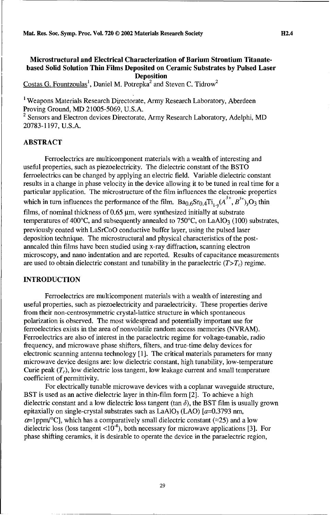#### Microstructural and Electrical Characterization of Barium Strontium Titanatebased Solid Solution Thin Films Deposited on Ceramic Substrates **by** Pulsed Laser Deposition

Costas G. Fountzoulas<sup>1</sup>, Daniel M. Potrepka<sup>2</sup> and Steven C. Tidrow<sup>2</sup>

<sup>1</sup> Weapons Materials Research Directorate, Army Research Laboratory, Aberdeen Proving Ground, MD 21005-5069, U.S.A.

<sup>2</sup> Sensors and Electron devices Directorate, Army Research Laboratory, Adelphi, MD 20783-1197, U.S.A.

#### ABSTRACT

Ferroelectrics are multicomponent materials with a wealth of interesting and useful properties, such as piezoelectricity. The dielectric constant of the BSTO ferroelectrics can be changed by applying an electric field. Variable dielectric constant results in a change in phase velocity in the device allowing it to be tuned in real time for a particular application. The microstructure of the film influences the electronic properties which in turn influences the performance of the film.  $Ba_{0.6}Sr_{0.4}Ti_{1.4}(A^{3+}, B^{5+})$ ,  $O_3$  thin films, of nominal thickness of  $0.65 \mu$ m, were synthesized initially at substrate temperatures of 400 $^{\circ}$ C, and subsequently annealed to 750 $^{\circ}$ C, on LaAlO<sub>3</sub> (100) substrates, previously coated with LaSrCoO conductive buffer layer, using the pulsed laser deposition technique. The microstructural and physical characteristics of the postannealed thin films have been studied using x-ray diffraction, scanning electron microscopy, and nano indentation and are reported. Results of capacitance measurements are used to obtain dielectric constant and tunability in the paraelectric  $(T>T_c)$  regime.

#### **INTRODUCTION**

Ferroelectrics are multicomponent materials with a wealth of interesting and useful properties, such as piezoelectricity and paraelectricity. These properties derive from their non-centrosymmetric crystal-lattice structure in which spontaneous polarization is observed. The most widespread and potentially important use for ferroelectrics exists in the area of nonvolatile random access memories (NVRAM). Ferroelectrics are also of interest in the paraelectric regime for voltage-tunable, radio frequency, and microwave phase shifters, filters, and true-time delay devices for electronic scanning antenna technology [1]. The critical materials parameters for many microwave device designs are: low dielectric constant, high tunability, low-temperature Curie peak  $(T_c)$ , low dielectric loss tangent, low leakage current and small temperature coefficient of permittivity.

For electrically tunable microwave devices with a coplanar waveguide structure, BST is used as an active dielectric layer in thin-film form [2]. To achieve a high dielectric constant and a low dielectric loss tangent (tan *6),* the BST film is usually grown epitaxially on single-crystal substrates such as  $LaAlO<sub>3</sub> (LAO)$  [ $a=0.3793$  nm,  $\alpha$ =1ppm/°C], which has a comparatively small dielectric constant ( $\approx$ 25) and a low dielectric loss (loss tangent  $\langle 10^4 \rangle$ , both necessary for microwave applications [3]. For phase shifting ceramics, it is desirable to operate the device in the paraelectric region,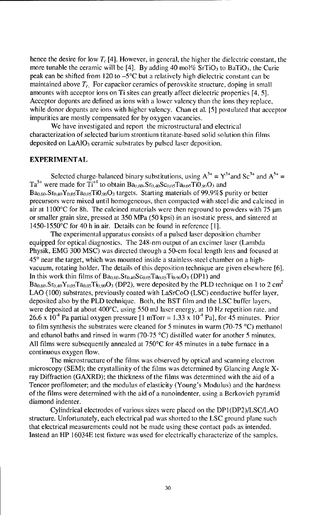hence the desire for low  $T_c$  [4]. However, in general, the higher the dielectric constant, the more tunable the ceramic will be [4]. By adding 40 mol% SrTiO<sub>3</sub> to BaTiO<sub>3</sub>, the Curie peak can be shifted from 120 to  $-5^{\circ}$ C but a relatively high dielectric constant can be maintained above  $T_c$ . For capacitor ceramics of perovskite structure, doping in small amounts with acceptor ions on Ti sites can greatly affect dielectric properties [4, 5]. Acceptor dopants are defined as ions with a lower valency than the ions they replace, while donor dopants are ions with higher valency. Chan et al. [5] postulated that acceptor impurities are mostly compensated for by oxygen vacancies.

We have investigated and report the microstructural and electrical characterization of selected barium strontium titanate-based solid solution thin films deposited on  $LaAlO<sub>3</sub>$  ceramic substrates by pulsed laser deposition.

#### EXPERIMENTAL

Selected charge-balanced binary substitutions, using  $A^{3+} = Y^{3+}$  and  $Sc^{3+}$  and  $A^{5+} =$  $Ta^{5+}$  were made for  $T_1^{+4}$  to obtain  $Ba_{0.60}$ ,  $Sr_{0.40}Sc_{0.05}Ta_{0.05}TiO_{90}O_3$  and  $Ba<sub>0.60</sub>. Sr<sub>0.40</sub>Y<sub>0.05</sub>Ta<sub>0.05</sub>Ti0<sub>.90</sub>O<sub>3</sub> targets. Starting materials of 99.9%$ purity or better$ precursors were mixed until homogeneous, then compacted with steel die and calcined in air at  $1100^{\circ}$ C for 8h. The calcined materials were then reground to powders with 75  $\mu$ m or smaller grain size, pressed at 350 MPa (50 kpsi) in an isostatic press, and sintered at 1450-1550'C for 40 h in air. Details can be found in reference [I].

The experimental apparatus consists of a pulsed laser deposition chamber equipped for optical diagnostics. The 248-nm output of an excimer laser (Lambda Physik, EMG 300 MSC) was directed through a 50-cm focal length lens and focused at **450** near the target, which was mounted inside a stainless-steel chamber on a highvacuum, rotating holder. The details of this deposition technique are given elsewhere [6]. In this work thin films of  $Ba_{0.60}$ .  $Sr_{0.40}Sc_{0.05}Ta_{0.05}Ti_{0.90}O_3$  (DP1) and  $Ba<sub>0.60</sub>. Sr<sub>0.40</sub>Y<sub>0.05</sub>Ta<sub>0.05</sub>Ti<sub>0.90</sub>O<sub>3</sub> (DP2), were deposited by the PLD technique on 1 to 2 cm<sup>2</sup>$ LAO (100) substrates, previously coated with LaSrCoO (LSC) conductive buffer layer, deposited also by the PLD technique. Both, the BST film and the LSC buffer layers, were deposited at about 400°C, using 550 mJ laser energy, at 10 Hz repetition rate, and 26.6 x  $10^{-4}$  Pa partial oxygen pressure [1 mTorr = 1.33 x  $10^{-4}$  Pa], for 45 minutes. Prior to film synthesis the substrates were cleaned for 5 minutes in warm (70-75 °C) methanol and ethanol baths and rinsed in warm (70-75 °C) distilled water for another 5 minutes. All films were subsequently annealed at 750°C for 45 minutes in a tube furnace in a continuous oxygen flow.

The microstructure of the filns was observed by optical and scanning electron microscopy (SEM); the crystallinity of the films was determined by Glancing Angle Xray Diffraction (GAXRD); the thickness of the films was determined with the aid of a Tencor profilometer; and the modulus of elasticity (Young's Modulus) and the hardness of the films were determined with the aid of a nanoindenter, using a Berkovich pyramid diamond indenter.

Cylindrical electrodes of various sizes were placed on the DPI(DP2)/LSC/LAO structure. Unfortunately, each electrical pad was shorted to the LSC ground plane such that electrical measurements could not be made using these contact pads as intended. Instead an HP 16034E test fixture was used for electrically characterize of the samples.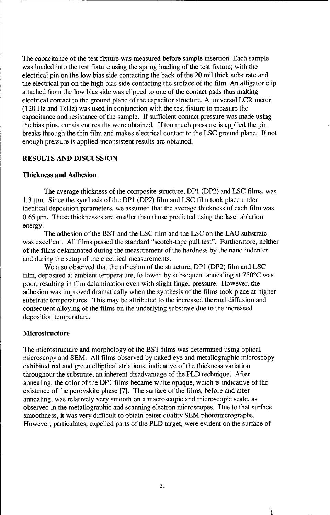The capacitance of the test fixture was measured before sample insertion. Each sample was loaded into the test fixture using the spring loading of the test fixture; with the electrical pin on the low bias side contacting the back of the 20 mil thick substrate and the electrical pin on the high bias side contacting the surface of the film. An alligator clip attached from the low bias side was clipped to one of the contact pads thus making electrical contact to the ground plane of the capacitor structure. A universal LCR meter (120 Hz and lkHz) was used in conjunction with the test fixture to measure the capacitance and resistance of the sample. If sufficient contact pressure was made using the bias pins, consistent results were obtained. If too much pressure is applied the pin breaks through the thin film and makes electrical contact to the LSC ground plane. If not enough pressure is applied inconsistent results are obtained.

#### RESULTS AND DISCUSSION

#### Thickness and Adhesion

The average thickness of the composite structure, **DPI** (DP2) and LSC films, was 1.3  $\mu$ m. Since the synthesis of the DP1 (DP2) film and LSC film took place under identical deposition parameters, we assumed that the average thickness of each film was  $0.65$   $\mu$ m. These thicknesses are smaller than those predicted using the laser ablation energy.

The adhesion of the BST and the LSC film and the LSC on the LAO substrate was excellent. All films passed the standard "scotch-tape pull test". Furthermore, neither of the films delaminated during the measurement of the hardness by the nano indenter and during the setup of the electrical measurements.

We also observed that the adhesion of the structure, DPI (DP2) film and LSC film, deposited at ambient temperature, followed by subsequent annealing at 750'C was poor, resulting in film delamination even with slight finger pressure. However, the adhesion was improved dramatically when the synthesis of the films took place at higher substrate temperatures. This may be attributed to the increased thermal diffusion and consequent alloying of the films on the underlying substrate due to the increased deposition temperature.

#### Microstructure

The microstructure and morphology of the BST films was determined using optical microscopy and SEM. All films observed by naked eye and metallographic microscopy exhibited red and green elliptical striations, indicative of the thickness variation throughout the substrate, an inherent disadvantage of the PLD technique. After annealing, the color of the DPi films became white opaque, which is indicative of the existence of the perovskite phase [7]. The surface of the films, before and after annealing, was relatively very smooth on a macroscopic and microscopic scale, as observed in the metallographic and scanning electron microscopes. Due to that surface smoothness, it was very difficult to obtain better quality SEM photomicrographs. However, particulates, expelled parts of the PLD target, were evident on the surface of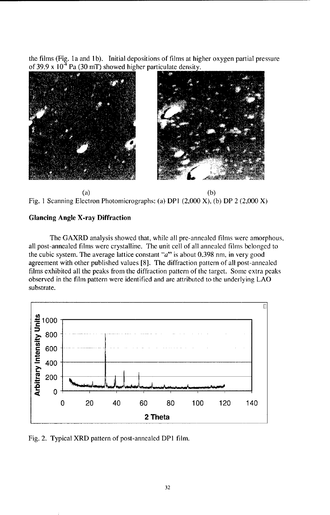the films (Fig. Ia and **I** b). Initial depositions of films at higher oxygen partial pressure of 39.9 x  $10^4$  Pa (30 mT) showed higher particulate density.





#### Glancing Angle X-ray Diffraction

The GAXRD analysis showed that, while all pre-annealed films were amorphous, all post-annealed films were crystalline. The unit cell of all annealed films belonged to the cubic system. The average lattice constant "a" is about 0.398 nm, in very good agreement with other published values [8]. The diffraction pattern of all post-annealed films exhibited all the peaks from the diffiraction pattern of the target. Some extra peaks observed in the film pattern were identified and are attributed to the underlying LAO substrate.



Fig. 2. Typical XRD pattern of post-annealed DPI film.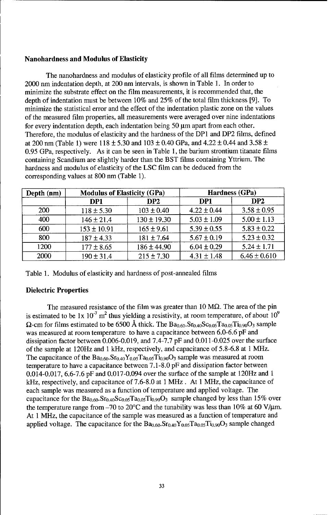#### Nanohardness and Modulus of Elasticity

The nanohardness and modulus of elasticity profile of all films determined up to 2000 nm indentation depth, at 200 nm intervals, is shown in Table 1. In order to minimize the substrate effect on the film measurements, it is recommended that, the depth of indentation must be between 10% and 25% of the total film thickness [9]. To minimize the statistical error and the effect of the indentation plastic zone on the values of the measured film properties, all measurements were averaged over nine indentations for every indentation depth, each indentation being  $50 \mu m$  apart from each other. Therefore, the modulus of elasticity and the hardness of the DP1 and DP2 films, defined at 200 nm (Table 1) were 118 **±** 5.30 and 103 + 0.40 GPa, and 4.22 **±** 0.44 and 3.58 **±** 0.95 GPa, respectively. As it can be seen in Table 1, the barium strontium titanate films containing Scandium are slightly harder than the BST films containing Yttrium. The hardness and modulus of elasticity of the LSC film can be deduced from the corresponding values at 800 nm (Table 1).

| Depth (nm) | <b>Modulus of Elasticity (GPa)</b> |                 | Hardness (GPa)  |                  |
|------------|------------------------------------|-----------------|-----------------|------------------|
|            | DP1                                | DP <sub>2</sub> | DP1             | DP <sub>2</sub>  |
| <b>200</b> | $118 \pm 5.30$                     | $103 \pm 0.40$  | $4.22 \pm 0.44$ | $3.58 \pm 0.95$  |
| 400        | $146 \pm 21.4$                     | $130 \pm 19.30$ | $5.03 \pm 1.09$ | $5.00 \pm 1.13$  |
| 600        | $153 \pm 10.91$                    | $165 \pm 9.61$  | $5.39 \pm 0.55$ | $5.83 \pm 0.22$  |
| 800        | $187 \pm 4.33$                     | $181 \pm 7.64$  | $5.67 \pm 0.19$ | $5.23 \pm 0.32$  |
| 1200       | $177 \pm 8.65$                     | $186 \pm 44.90$ | $6.04 \pm 0.29$ | $5.24 \pm 1.71$  |
| 2000       | $190 \pm 31.4$                     | $215 \pm 7.30$  | $4.31 \pm 1.48$ | $6.46 \pm 0.610$ |

Table 1. Modulus of elasticity and hardness of post-annealed films

#### Dielectric Properties

The measured resistance of the film was greater than 10  $\text{M}\Omega$ . The area of the pin is estimated to be 1x  $10^{-7}$  m<sup>2</sup> thus yielding a resistivity, at room temperature, of about  $10^{9}$  $\Omega$ -cm for films estimated to be 6500 Å thick. The  $Ba_{0.60}$ .  $Sr_{0.40}$ Sc<sub>0.05</sub>T $a_{0.05}$ Ti<sub>0.90</sub>O<sub>3</sub> sample was measured at room temperature to have a capacitance between 6.0-6.6 pF and dissipation factor between 0.006-0.019, and 7.4-7.7 pF and 0.011-0.025 over the surface of the sample at 120Hz and 1 kHz, respectively, and capacitance of 5.8-6.8 at 1 MHz. The capacitance of the  $Ba_{0.60}$ . $Sr_{0.40}Y_{0.05}Ta_{0.05}Ti_{0.90}O_3$  sample was measured at room temperature to have a capacitance between 7.1-8.0 pF and dissipation factor between 0.014-0.017, 6.6-7.6 pF and 0.017-0.094 over the surface of the sample at 120Hz and 1 kHz, respectively, and capacitance of 7.6-8.0 at 1 MHz. At 1 MHz, the capacitance of each sample was measured as a function of temperature and applied voltage. The capacitance for the  $Ba_{0.60}Sr_{0.40}Sc_{0.05}Ta_{0.05}Ti_{0.90}O_3$  sample changed by less than 15% over the temperature range from  $-70$  to 20°C and the tunability was less than 10% at 60 V/ $\mu$ m. At 1 MHz, the capacitance of the sample was measured as a function of temperature and applied voltage. The capacitance for the  $Ba_{0.60}$ .  $Sr_{0.40}Y_{0.05}Ta_{0.05}Ti_{0.90}O_3$  sample changed